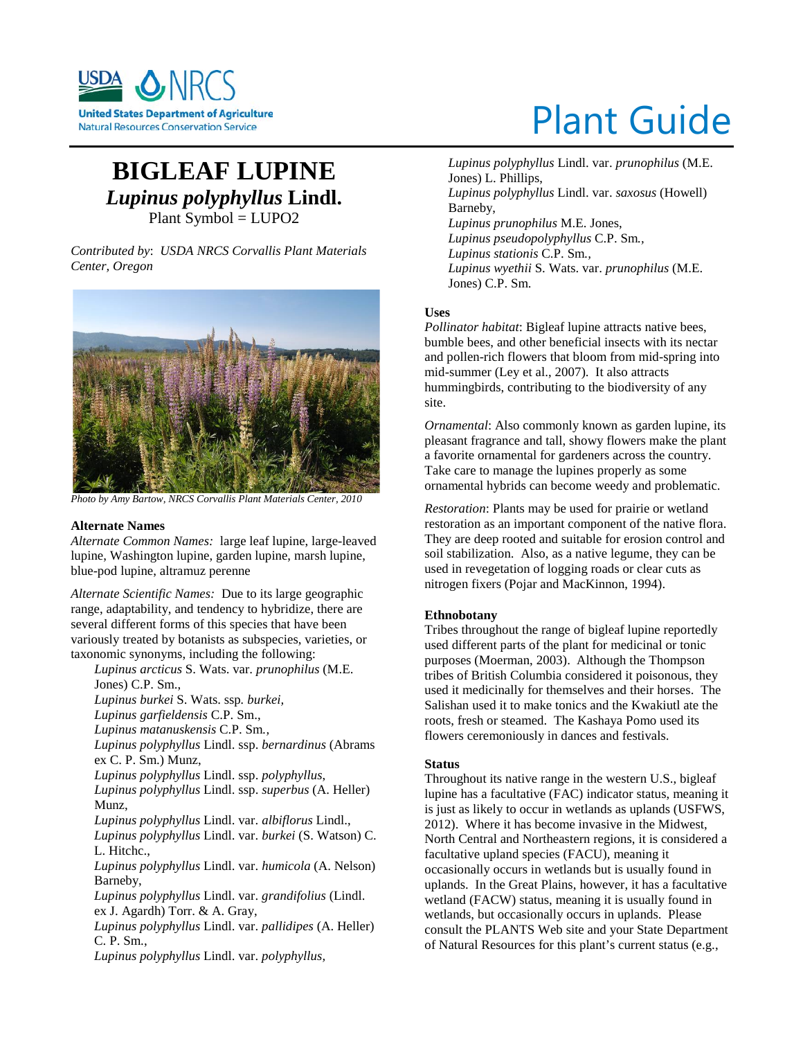

# **BIGLEAF LUPINE** *Lupinus polyphyllus* **Lindl.** Plant Symbol = LUPO2

*Contributed by*: *USDA NRCS Corvallis Plant Materials Center, Oregon*



*Photo by Amy Bartow, NRCS Corvallis Plant Materials Center, 2010*

#### **Alternate Names**

*Alternate Common Names:* large leaf lupine, large-leaved lupine, Washington lupine, garden lupine, marsh lupine, blue-pod lupine, altramuz perenne

*Alternate Scientific Names:* Due to its large geographic range, adaptability, and tendency to hybridize, there are several different forms of this species that have been variously treated by botanists as subspecies, varieties, or taxonomic synonyms, including the following:

*Lupinus arcticus* S. Wats. var. *prunophilus* (M.E. Jones) C.P. Sm., *Lupinus burkei* S. Wats. ssp*. burkei, Lupinus garfieldensis* C.P. Sm., *Lupinus matanuskensis* C.P. Sm*., Lupinus polyphyllus* Lindl. ssp. *bernardinus* (Abrams ex C. P. Sm.) Munz, *Lupinus polyphyllus* Lindl. ssp. *polyphyllus*, *Lupinus polyphyllus* Lindl. ssp. *superbus* (A. Heller) Munz, *Lupinus polyphyllus* Lindl. var. *albiflorus* Lindl., *Lupinus polyphyllus* Lindl. var. *burkei* (S. Watson) C. L. Hitchc., *Lupinus polyphyllus* Lindl. var. *humicola* (A. Nelson) Barneby, *Lupinus polyphyllus* Lindl. var. *grandifolius* (Lindl. ex J. Agardh) Torr. & A. Gray, *Lupinus polyphyllus* Lindl. var. *pallidipes* (A. Heller) C. P. Sm., *Lupinus polyphyllus* Lindl. var. *polyphyllus,*

# Plant Guide

*Lupinus polyphyllus* Lindl. var. *prunophilus* (M.E. Jones) L. Phillips, *Lupinus polyphyllus* Lindl. var. *saxosus* (Howell) Barneby, *Lupinus prunophilus* M.E. Jones, *Lupinus pseudopolyphyllus* C.P. Sm*., Lupinus stationis* C.P. Sm*., Lupinus wyethii* S. Wats. var. *prunophilus* (M.E. Jones) C.P. Sm.

# **Uses**

*Pollinator habitat*: Bigleaf lupine attracts native bees, bumble bees, and other beneficial insects with its nectar and pollen-rich flowers that bloom from mid-spring into mid-summer (Ley et al., 2007). It also attracts hummingbirds, contributing to the biodiversity of any site.

*Ornamental*: Also commonly known as garden lupine, its pleasant fragrance and tall, showy flowers make the plant a favorite ornamental for gardeners across the country. Take care to manage the lupines properly as some ornamental hybrids can become weedy and problematic.

*Restoration*: Plants may be used for prairie or wetland restoration as an important component of the native flora. They are deep rooted and suitable for erosion control and soil stabilization. Also, as a native legume, they can be used in revegetation of logging roads or clear cuts as nitrogen fixers (Pojar and MacKinnon, 1994).

#### **Ethnobotany**

Tribes throughout the range of bigleaf lupine reportedly used different parts of the plant for medicinal or tonic purposes (Moerman, 2003). Although the Thompson tribes of British Columbia considered it poisonous, they used it medicinally for themselves and their horses. The Salishan used it to make tonics and the Kwakiutl ate the roots, fresh or steamed. The Kashaya Pomo used its flowers ceremoniously in dances and festivals.

# **Status**

Throughout its native range in the western U.S., bigleaf lupine has a facultative (FAC) indicator status, meaning it is just as likely to occur in wetlands as uplands (USFWS, 2012). Where it has become invasive in the Midwest, North Central and Northeastern regions, it is considered a facultative upland species (FACU), meaning it occasionally occurs in wetlands but is usually found in uplands. In the Great Plains, however, it has a facultative wetland (FACW) status, meaning it is usually found in wetlands, but occasionally occurs in uplands. Please consult the PLANTS Web site and your State Department of Natural Resources for this plant's current status (e.g.,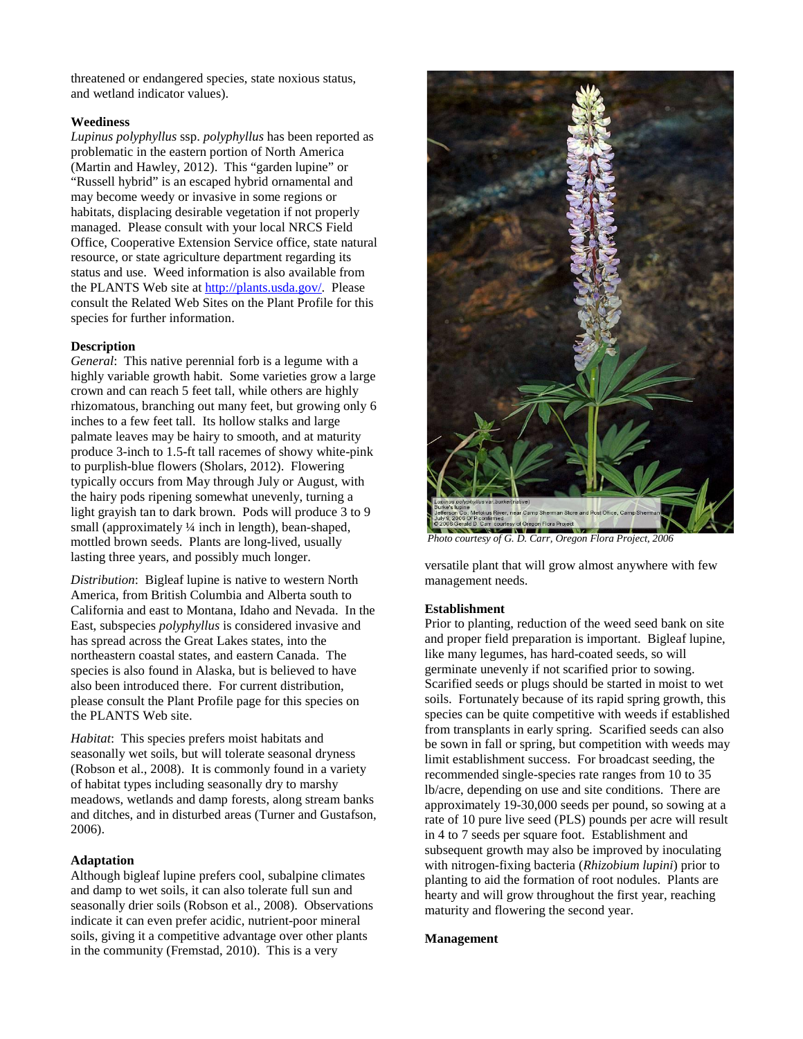threatened or endangered species, state noxious status, and wetland indicator values).

# **Weediness**

*Lupinus polyphyllus* ssp. *polyphyllus* has been reported as problematic in the eastern portion of North America (Martin and Hawley, 2012). This "garden lupine" or "Russell hybrid" is an escaped hybrid ornamental and may become weedy or invasive in some regions or habitats, displacing desirable vegetation if not properly managed. Please consult with your local NRCS Field Office, Cooperative Extension Service office, state natural resource, or state agriculture department regarding its status and use. Weed information is also available from the PLANTS Web site at [http://plants.usda.gov/.](http://plants.usda.gov/) Please consult the Related Web Sites on the Plant Profile for this species for further information.

# **Description**

*General*: This native perennial forb is a legume with a highly variable growth habit. Some varieties grow a large crown and can reach 5 feet tall, while others are highly rhizomatous, branching out many feet, but growing only 6 inches to a few feet tall. Its hollow stalks and large palmate leaves may be hairy to smooth, and at maturity produce 3-inch to 1.5-ft tall racemes of showy white-pink to purplish-blue flowers (Sholars, 2012). Flowering typically occurs from May through July or August, with the hairy pods ripening somewhat unevenly, turning a light grayish tan to dark brown. Pods will produce 3 to 9 small (approximately 1/4 inch in length), bean-shaped, mottled brown seeds. Plants are long-lived, usually lasting three years, and possibly much longer.

*Distribution*: Bigleaf lupine is native to western North America, from British Columbia and Alberta south to California and east to Montana, Idaho and Nevada. In the East, subspecies *polyphyllus* is considered invasive and has spread across the Great Lakes states, into the northeastern coastal states, and eastern Canada. The species is also found in Alaska, but is believed to have also been introduced there. For current distribution, please consult the Plant Profile page for this species on the PLANTS Web site.

*Habitat*: This species prefers moist habitats and seasonally wet soils, but will tolerate seasonal dryness (Robson et al., 2008). It is commonly found in a variety of habitat types including seasonally dry to marshy meadows, wetlands and damp forests, along stream banks and ditches, and in disturbed areas (Turner and Gustafson, 2006).

# **Adaptation**

Although bigleaf lupine prefers cool, subalpine climates and damp to wet soils, it can also tolerate full sun and seasonally drier soils (Robson et al., 2008). Observations indicate it can even prefer acidic, nutrient-poor mineral soils, giving it a competitive advantage over other plants in the community (Fremstad, 2010). This is a very



*Photo courtesy of G. D. Carr, Oregon Flora Project, 2006*

versatile plant that will grow almost anywhere with few management needs.

# **Establishment**

Prior to planting, reduction of the weed seed bank on site and proper field preparation is important. Bigleaf lupine, like many legumes, has hard-coated seeds, so will germinate unevenly if not scarified prior to sowing. Scarified seeds or plugs should be started in moist to wet soils. Fortunately because of its rapid spring growth, this species can be quite competitive with weeds if established from transplants in early spring. Scarified seeds can also be sown in fall or spring, but competition with weeds may limit establishment success. For broadcast seeding, the recommended single-species rate ranges from 10 to 35 lb/acre, depending on use and site conditions. There are approximately 19-30,000 seeds per pound, so sowing at a rate of 10 pure live seed (PLS) pounds per acre will result in 4 to 7 seeds per square foot. Establishment and subsequent growth may also be improved by inoculating with nitrogen-fixing bacteria (*Rhizobium lupini*) prior to planting to aid the formation of root nodules. Plants are hearty and will grow throughout the first year, reaching maturity and flowering the second year.

#### **Management**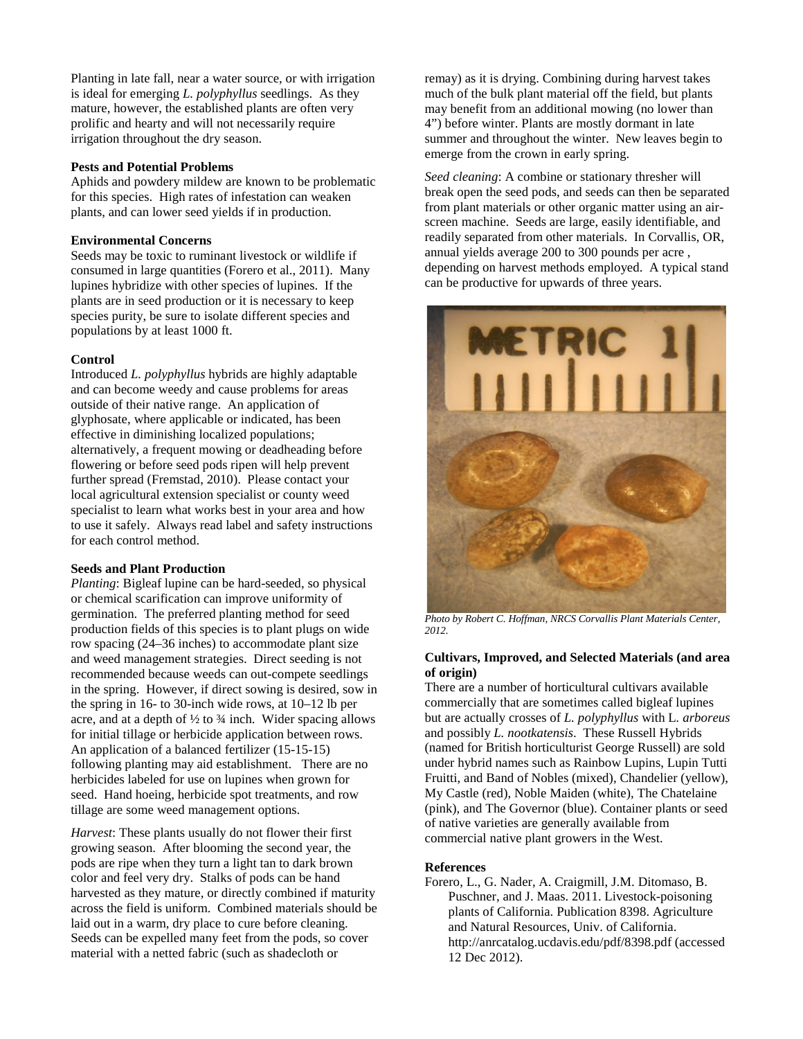Planting in late fall, near a water source, or with irrigation is ideal for emerging *L. polyphyllus* seedlings. As they mature, however, the established plants are often very prolific and hearty and will not necessarily require irrigation throughout the dry season.

# **Pests and Potential Problems**

Aphids and powdery mildew are known to be problematic for this species. High rates of infestation can weaken plants, and can lower seed yields if in production.

# **Environmental Concerns**

Seeds may be toxic to ruminant livestock or wildlife if consumed in large quantities (Forero et al., 2011). Many lupines hybridize with other species of lupines. If the plants are in seed production or it is necessary to keep species purity, be sure to isolate different species and populations by at least 1000 ft.

#### **Control**

Introduced *L. polyphyllus* hybrids are highly adaptable and can become weedy and cause problems for areas outside of their native range. An application of glyphosate, where applicable or indicated, has been effective in diminishing localized populations; alternatively, a frequent mowing or deadheading before flowering or before seed pods ripen will help prevent further spread (Fremstad, 2010). Please contact your local agricultural extension specialist or county weed specialist to learn what works best in your area and how to use it safely. Always read label and safety instructions for each control method.

# **Seeds and Plant Production**

*Planting*: Bigleaf lupine can be hard-seeded, so physical or chemical scarification can improve uniformity of germination. The preferred planting method for seed production fields of this species is to plant plugs on wide row spacing (24–36 inches) to accommodate plant size and weed management strategies. Direct seeding is not recommended because weeds can out-compete seedlings in the spring. However, if direct sowing is desired, sow in the spring in 16- to 30-inch wide rows, at 10–12 lb per acre, and at a depth of  $\frac{1}{2}$  to  $\frac{3}{4}$  inch. Wider spacing allows for initial tillage or herbicide application between rows. An application of a balanced fertilizer (15-15-15) following planting may aid establishment. There are no herbicides labeled for use on lupines when grown for seed. Hand hoeing, herbicide spot treatments, and row tillage are some weed management options.

*Harvest*: These plants usually do not flower their first growing season. After blooming the second year, the pods are ripe when they turn a light tan to dark brown color and feel very dry. Stalks of pods can be hand harvested as they mature, or directly combined if maturity across the field is uniform. Combined materials should be laid out in a warm, dry place to cure before cleaning. Seeds can be expelled many feet from the pods, so cover material with a netted fabric (such as shadecloth or

remay) as it is drying. Combining during harvest takes much of the bulk plant material off the field, but plants may benefit from an additional mowing (no lower than 4") before winter. Plants are mostly dormant in late summer and throughout the winter. New leaves begin to emerge from the crown in early spring.

*Seed cleaning*: A combine or stationary thresher will break open the seed pods, and seeds can then be separated from plant materials or other organic matter using an airscreen machine. Seeds are large, easily identifiable, and readily separated from other materials. In Corvallis, OR, annual yields average 200 to 300 pounds per acre , depending on harvest methods employed. A typical stand can be productive for upwards of three years.



*Photo by Robert C. Hoffman, NRCS Corvallis Plant Materials Center, 2012.*

#### **Cultivars, Improved, and Selected Materials (and area of origin)**

There are a number of horticultural cultivars available commercially that are sometimes called bigleaf lupines but are actually crosses of *L. polyphyllus* with L*. arboreus* and possibly *L. nootkatensis*. These Russell Hybrids (named for British horticulturist George Russell) are sold under hybrid names such as Rainbow Lupins, Lupin Tutti Fruitti, and Band of Nobles (mixed), Chandelier (yellow), My Castle (red), Noble Maiden (white), The Chatelaine (pink), and The Governor (blue). Container plants or seed of native varieties are generally available from commercial native plant growers in the West.

# **References**

Forero, L., G. Nader, A. Craigmill, J.M. Ditomaso, B. Puschner, and J. Maas. 2011. Livestock-poisoning plants of California. Publication 8398. Agriculture and Natural Resources, Univ. of California. http://anrcatalog.ucdavis.edu/pdf/8398.pdf (accessed 12 Dec 2012).